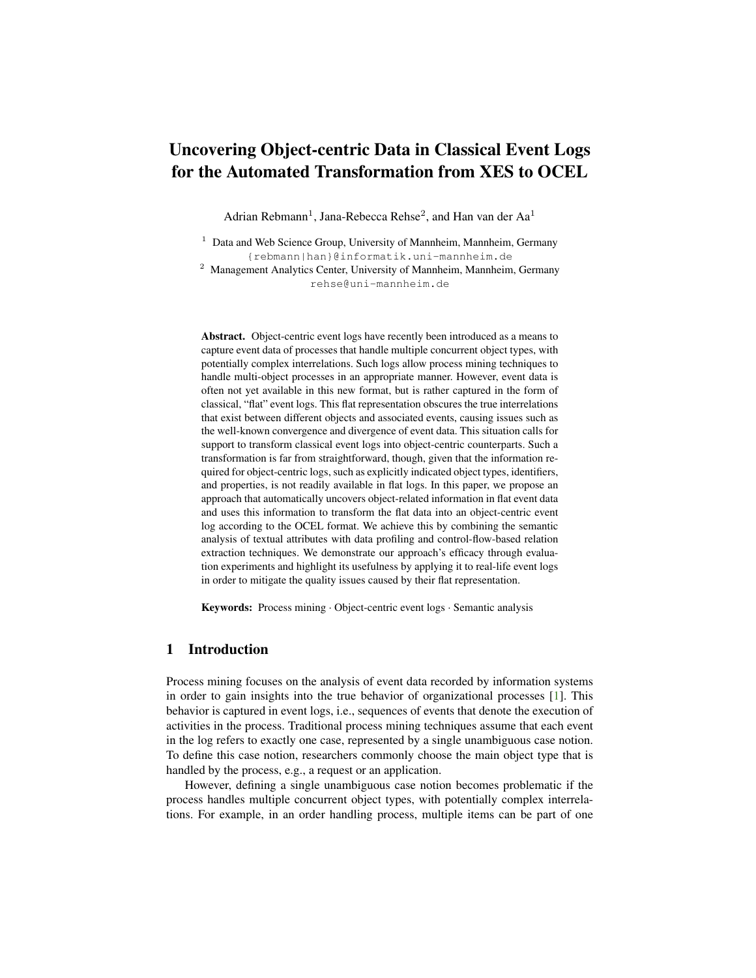# Uncovering Object-centric Data in Classical Event Logs for the Automated Transformation from XES to OCEL

Adrian Rebmann<sup>1</sup>, Jana-Rebecca Rehse<sup>2</sup>, and Han van der Aa<sup>1</sup>

- <sup>1</sup> Data and Web Science Group, University of Mannheim, Mannheim, Germany {rebmann|han}@informatik.uni-mannheim.de
- <sup>2</sup> Management Analytics Center, University of Mannheim, Mannheim, Germany rehse@uni-mannheim.de

Abstract. Object-centric event logs have recently been introduced as a means to capture event data of processes that handle multiple concurrent object types, with potentially complex interrelations. Such logs allow process mining techniques to handle multi-object processes in an appropriate manner. However, event data is often not yet available in this new format, but is rather captured in the form of classical, "flat" event logs. This flat representation obscures the true interrelations that exist between different objects and associated events, causing issues such as the well-known convergence and divergence of event data. This situation calls for support to transform classical event logs into object-centric counterparts. Such a transformation is far from straightforward, though, given that the information required for object-centric logs, such as explicitly indicated object types, identifiers, and properties, is not readily available in flat logs. In this paper, we propose an approach that automatically uncovers object-related information in flat event data and uses this information to transform the flat data into an object-centric event log according to the OCEL format. We achieve this by combining the semantic analysis of textual attributes with data profiling and control-flow-based relation extraction techniques. We demonstrate our approach's efficacy through evaluation experiments and highlight its usefulness by applying it to real-life event logs in order to mitigate the quality issues caused by their flat representation.

Keywords: Process mining · Object-centric event logs · Semantic analysis

## 1 Introduction

Process mining focuses on the analysis of event data recorded by information systems in order to gain insights into the true behavior of organizational processes [\[1\]](#page-16-0). This behavior is captured in event logs, i.e., sequences of events that denote the execution of activities in the process. Traditional process mining techniques assume that each event in the log refers to exactly one case, represented by a single unambiguous case notion. To define this case notion, researchers commonly choose the main object type that is handled by the process, e.g., a request or an application.

However, defining a single unambiguous case notion becomes problematic if the process handles multiple concurrent object types, with potentially complex interrelations. For example, in an order handling process, multiple items can be part of one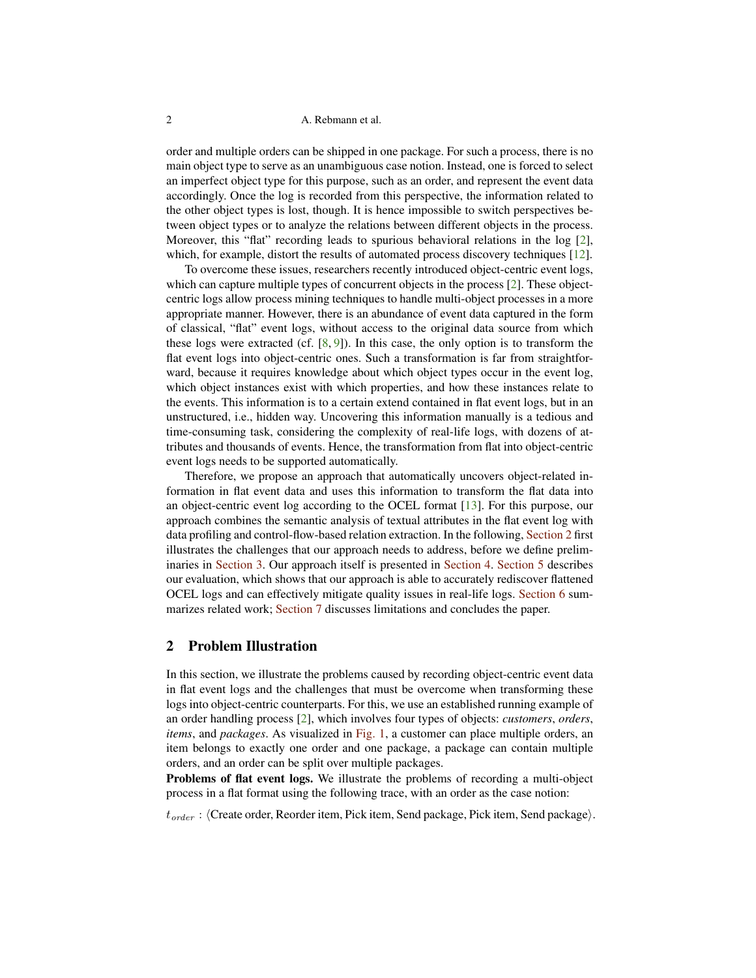order and multiple orders can be shipped in one package. For such a process, there is no main object type to serve as an unambiguous case notion. Instead, one is forced to select an imperfect object type for this purpose, such as an order, and represent the event data accordingly. Once the log is recorded from this perspective, the information related to the other object types is lost, though. It is hence impossible to switch perspectives between object types or to analyze the relations between different objects in the process. Moreover, this "flat" recording leads to spurious behavioral relations in the log [\[2\]](#page-16-1), which, for example, distort the results of automated process discovery techniques [\[12\]](#page-16-2).

To overcome these issues, researchers recently introduced object-centric event logs, which can capture multiple types of concurrent objects in the process [\[2\]](#page-16-1). These objectcentric logs allow process mining techniques to handle multi-object processes in a more appropriate manner. However, there is an abundance of event data captured in the form of classical, "flat" event logs, without access to the original data source from which these logs were extracted (cf.  $[8, 9]$  $[8, 9]$  $[8, 9]$ ). In this case, the only option is to transform the flat event logs into object-centric ones. Such a transformation is far from straightforward, because it requires knowledge about which object types occur in the event log, which object instances exist with which properties, and how these instances relate to the events. This information is to a certain extend contained in flat event logs, but in an unstructured, i.e., hidden way. Uncovering this information manually is a tedious and time-consuming task, considering the complexity of real-life logs, with dozens of attributes and thousands of events. Hence, the transformation from flat into object-centric event logs needs to be supported automatically.

Therefore, we propose an approach that automatically uncovers object-related information in flat event data and uses this information to transform the flat data into an object-centric event log according to the OCEL format [\[13\]](#page-16-5). For this purpose, our approach combines the semantic analysis of textual attributes in the flat event log with data profiling and control-flow-based relation extraction. In the following, [Section 2](#page-1-0) first illustrates the challenges that our approach needs to address, before we define preliminaries in [Section 3.](#page-4-0) Our approach itself is presented in [Section 4.](#page-4-1) [Section 5](#page-11-0) describes our evaluation, which shows that our approach is able to accurately rediscover flattened OCEL logs and can effectively mitigate quality issues in real-life logs. [Section 6](#page-14-0) summarizes related work; [Section 7](#page-15-0) discusses limitations and concludes the paper.

# <span id="page-1-0"></span>2 Problem Illustration

In this section, we illustrate the problems caused by recording object-centric event data in flat event logs and the challenges that must be overcome when transforming these logs into object-centric counterparts. For this, we use an established running example of an order handling process [\[2\]](#page-16-1), which involves four types of objects: *customers*, *orders*, *items*, and *packages*. As visualized in [Fig. 1,](#page-2-0) a customer can place multiple orders, an item belongs to exactly one order and one package, a package can contain multiple orders, and an order can be split over multiple packages.

Problems of flat event logs. We illustrate the problems of recording a multi-object process in a flat format using the following trace, with an order as the case notion:

 $t_{order}$ : (Create order, Reorder item, Pick item, Send package, Pick item, Send package).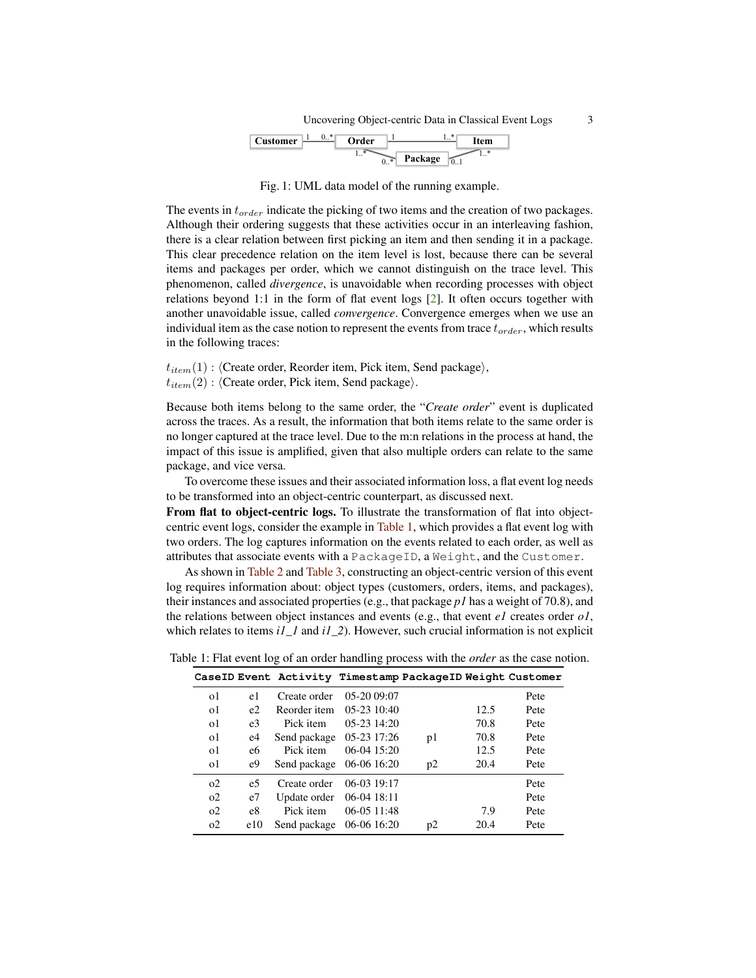

Fig. 1: UML data model of the running example.

<span id="page-2-0"></span>The events in  $t_{order}$  indicate the picking of two items and the creation of two packages. Although their ordering suggests that these activities occur in an interleaving fashion, there is a clear relation between first picking an item and then sending it in a package. This clear precedence relation on the item level is lost, because there can be several items and packages per order, which we cannot distinguish on the trace level. This phenomenon, called *divergence*, is unavoidable when recording processes with object relations beyond 1:1 in the form of flat event logs [\[2\]](#page-16-1). It often occurs together with another unavoidable issue, called *convergence*. Convergence emerges when we use an individual item as the case notion to represent the events from trace  $t_{order}$ , which results in the following traces:

 $t_{item}(1)$ : (Create order, Reorder item, Pick item, Send package),  $t_{item}(2)$ : (Create order, Pick item, Send package).

Because both items belong to the same order, the "*Create order*" event is duplicated across the traces. As a result, the information that both items relate to the same order is no longer captured at the trace level. Due to the m:n relations in the process at hand, the impact of this issue is amplified, given that also multiple orders can relate to the same package, and vice versa.

To overcome these issues and their associated information loss, a flat event log needs to be transformed into an object-centric counterpart, as discussed next.

From flat to object-centric logs. To illustrate the transformation of flat into objectcentric event logs, consider the example in [Table 1,](#page-2-1) which provides a flat event log with two orders. The log captures information on the events related to each order, as well as attributes that associate events with a PackageID, a Weight, and the Customer.

As shown in [Table 2](#page-3-0) and [Table 3,](#page-3-0) constructing an object-centric version of this event log requires information about: object types (customers, orders, items, and packages), their instances and associated properties (e.g., that package *p1* has a weight of 70.8), and the relations between object instances and events (e.g., that event *e1* creates order *o1*, which relates to items *i1\_1* and *i1\_2*). However, such crucial information is not explicit

|                |                |              | CaseID Event Activity Timestamp PackageID Weight Customer |    |      |      |
|----------------|----------------|--------------|-----------------------------------------------------------|----|------|------|
| 01             | e1             | Create order | $0.5 - 20009:07$                                          |    |      | Pete |
| $\Omega$       | e <sub>2</sub> | Reorder item | $0.5 - 2.3$ 10:40                                         |    | 12.5 | Pete |
| $\Omega$       | e3             | Pick item    | $05-23$ 14:20                                             |    | 70.8 | Pete |
| $\Omega$       | e4             | Send package | $05-23$ 17:26                                             | pl | 70.8 | Pete |
| $\Omega$       | eб             | Pick item    | $06-04$ 15:20                                             |    | 12.5 | Pete |
| 01             | e <sup>9</sup> | Send package | 06-06 16:20                                               | p2 | 20.4 | Pete |
| 0 <sup>2</sup> | e <sub>5</sub> | Create order | $06-03$ 19:17                                             |    |      | Pete |
| 0 <sup>2</sup> | e7             | Update order | $06-04$ 18:11                                             |    |      | Pete |
| $\Omega$       | e8             | Pick item    | $06-05$ 11:48                                             |    | 7.9  | Pete |
| 0 <sup>2</sup> | e10            | Send package | 06-06 16:20                                               | p2 | 20.4 | Pete |

<span id="page-2-1"></span>Table 1: Flat event log of an order handling process with the *order* as the case notion.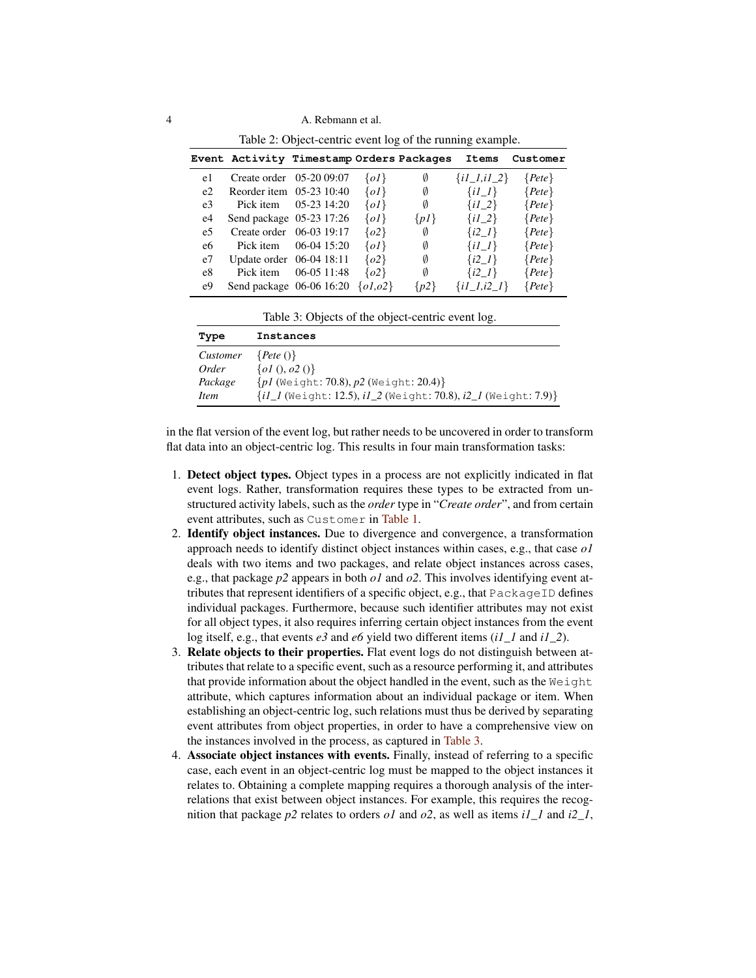<span id="page-3-0"></span>4 A. Rebmann et al.

|                |                            | Event Activity Timestamp Orders Packages |           |          | Items               | Customer   |
|----------------|----------------------------|------------------------------------------|-----------|----------|---------------------|------------|
| el             | Create order $05-2009:07$  |                                          | $\{oI\}$  | Ø        | $\{i1_l, i1_l, 2\}$ | $\{Pete\}$ |
| e <sub>2</sub> | Reorder item $05-23$ 10:40 |                                          | $\{oI\}$  | Ø        | $\{iI_1\}$          | $\{Pete\}$ |
| e3             | Pick item                  | $05-23$ 14:20                            | $\{oI\}$  | Ø        | $\{i1\,2\}$         | $\{Pete\}$ |
| e4             | Send package 05-23 17:26   |                                          | $\{oI\}$  | $\{pI\}$ | $\{iI_2\}$          | $\{Pete\}$ |
| e5             | Create order 06-03 19:17   |                                          | ${o2}$    | Ø        | $\{i2_l\}$          | $\{Pete\}$ |
| eб             | Pick item                  | 06-04 15:20                              | $\{oI\}$  | Ø        | $\{iI_1\}$          | $\{Pete\}$ |
| e <sub>7</sub> | Update order 06-04 18:11   |                                          | ${o2}$    | Ø        | $\{i2\_1\}$         | $\{Pete\}$ |
| e8             | Pick item                  | 06-05 11:48                              | ${o2}$    | Ø        | $\{i2_l\}$          | $\{Pete\}$ |
| e9             | Send package 06-06 16:20   |                                          | ${ol.o2}$ | $\{p2\}$ | $\{iI_1, i2_1\}$    | $\{Pete\}$ |

Table 2: Object-centric event log of the running example.

|  | Table 3: Objects of the object-centric event log. |  |
|--|---------------------------------------------------|--|
|  |                                                   |  |

| Type         | Instances                                                                                  |
|--------------|--------------------------------------------------------------------------------------------|
| Customer     | $\{Pete\}$                                                                                 |
| <i>Order</i> | $\{oI(), o2() \}$                                                                          |
| Package      | $\{p1$ (Weight: 70.8), $p2$ (Weight: 20.4)}                                                |
| <i>Item</i>  | $\{iI_1 \text{ (Weight: 12.5)}, iI_2 \text{ (Weight: 70.8)}, i2_I \text{ (Weight: 7.9)}\}$ |

in the flat version of the event log, but rather needs to be uncovered in order to transform flat data into an object-centric log. This results in four main transformation tasks:

- 1. Detect object types. Object types in a process are not explicitly indicated in flat event logs. Rather, transformation requires these types to be extracted from unstructured activity labels, such as the *order* type in "*Create order*", and from certain event attributes, such as Customer in [Table 1.](#page-2-1)
- 2. Identify object instances. Due to divergence and convergence, a transformation approach needs to identify distinct object instances within cases, e.g., that case *o1* deals with two items and two packages, and relate object instances across cases, e.g., that package *p2* appears in both *o1* and *o2*. This involves identifying event attributes that represent identifiers of a specific object, e.g., that  $Packa$  example defines individual packages. Furthermore, because such identifier attributes may not exist for all object types, it also requires inferring certain object instances from the event log itself, e.g., that events *e3* and *e6* yield two different items (*i1\_1* and *i1\_2*).
- 3. Relate objects to their properties. Flat event logs do not distinguish between attributes that relate to a specific event, such as a resource performing it, and attributes that provide information about the object handled in the event, such as the  $W\oplus \text{i}$  cht. attribute, which captures information about an individual package or item. When establishing an object-centric log, such relations must thus be derived by separating event attributes from object properties, in order to have a comprehensive view on the instances involved in the process, as captured in [Table 3.](#page-3-0)
- 4. Associate object instances with events. Finally, instead of referring to a specific case, each event in an object-centric log must be mapped to the object instances it relates to. Obtaining a complete mapping requires a thorough analysis of the interrelations that exist between object instances. For example, this requires the recognition that package *p2* relates to orders *o1* and *o2*, as well as items *i1\_1* and *i2\_1*,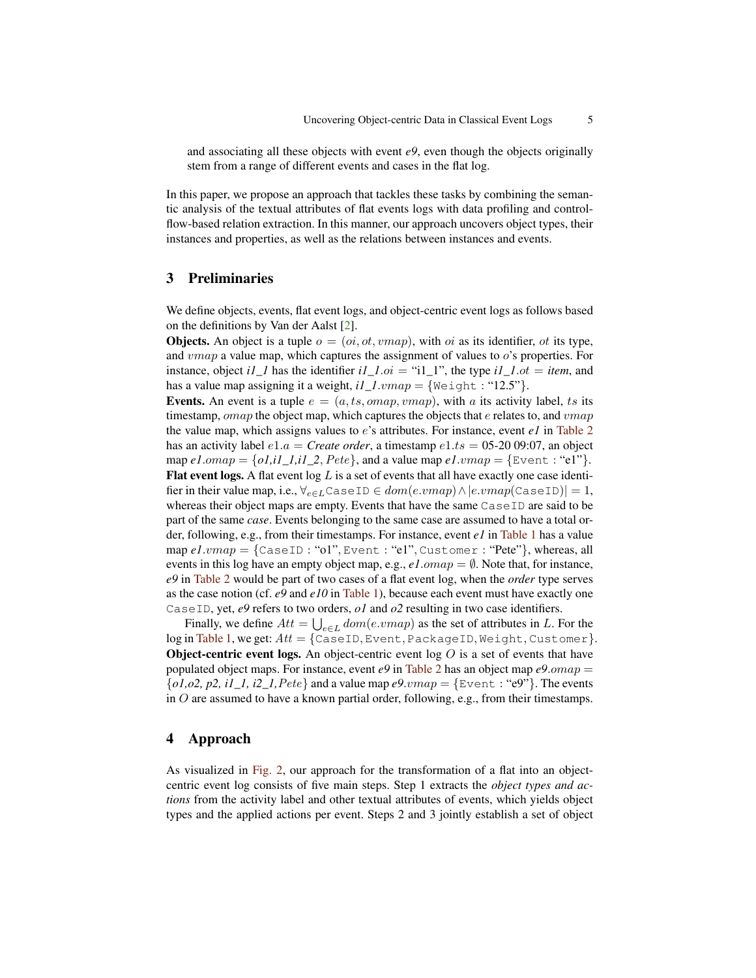and associating all these objects with event *e9*, even though the objects originally stem from a range of different events and cases in the flat log.

In this paper, we propose an approach that tackles these tasks by combining the semantic analysis of the textual attributes of flat events logs with data profiling and controlflow-based relation extraction. In this manner, our approach uncovers object types, their instances and properties, as well as the relations between instances and events.

# <span id="page-4-0"></span>3 Preliminaries

We define objects, events, flat event logs, and object-centric event logs as follows based on the definitions by Van der Aalst [\[2\]](#page-16-1).

**Objects.** An object is a tuple  $o = (oi, ot, vmap)$ , with oi as its identifier, ot its type, and  $vmap$  a value map, which captures the assignment of values to  $o$ 's properties. For instance, object *i1\_1* has the identifier *i1\_1.oi* = "i1\_1", the type *i1\_1.ot* = *item*, and has a value map assigning it a weight,  $i1_l$ *-1.vmap* = {Weight : "12.5"}.

**Events.** An event is a tuple  $e = (a, ts, omap, vmap)$ , with a its activity label, ts its timestamp, *omap* the object map, which captures the objects that  $e$  relates to, and *vmap* the value map, which assigns values to e's attributes. For instance, event *e1* in [Table 2](#page-3-0) has an activity label  $e1.a = Create order$ , a timestamp  $e1.ts = 05-20 09:07$ , an object map  $e1.omap = \{ol, il\_1, il\_2, Pete\}$ , and a value map  $el.vmap = \{\text{Event} : "el"\}$ . **Flat event logs.** A flat event log  $L$  is a set of events that all have exactly one case identifier in their value map, i.e.,  $\forall_{e \in L}$ CaseID  $\in dom(e.vmap) \wedge | e.vmap$ (CaseID) $| = 1$ , whereas their object maps are empty. Events that have the same CaseID are said to be part of the same *case*. Events belonging to the same case are assumed to have a total order, following, e.g., from their timestamps. For instance, event *e1* in [Table 1](#page-2-1) has a value map  $el.vmap = \{ \text{CaseID} : \text{``ol", Event} : \text{``el", Customer} : \text{``Pete"} \}$ , whereas, all events in this log have an empty object map, e.g.,  $e1.oma p = \emptyset$ . Note that, for instance, *e9* in [Table 2](#page-3-0) would be part of two cases of a flat event log, when the *order* type serves as the case notion (cf. *e9* and *e10* in [Table 1\)](#page-2-1), because each event must have exactly one CaseID, yet, *e9* refers to two orders, *o1* and *o2* resulting in two case identifiers.

Finally, we define  $Att = \bigcup_{e \in L} dom(e.vmap)$  as the set of attributes in L. For the  $log in Table 1, we get: At = {CaseID, Event, PackageID, Weight, Customer}.$  $log in Table 1, we get: At = {CaseID, Event, PackageID, Weight, Customer}.$  $log in Table 1, we get: At = {CaseID, Event, PackageID, Weight, Customer}.$ **Object-centric event logs.** An object-centric event log  $O$  is a set of events that have populated object maps. For instance, event  $e9$  in [Table 2](#page-3-0) has an object map  $e9.0$  map  ${o1,o2,p2,i1_1,i2_1,Pete}$  and a value map  $e9.vmap = {Even : "e9"}.$  The events in  $O$  are assumed to have a known partial order, following, e.g., from their timestamps.

### <span id="page-4-1"></span>4 Approach

As visualized in [Fig. 2,](#page-5-0) our approach for the transformation of a flat into an objectcentric event log consists of five main steps. Step 1 extracts the *object types and actions* from the activity label and other textual attributes of events, which yields object types and the applied actions per event. Steps 2 and 3 jointly establish a set of object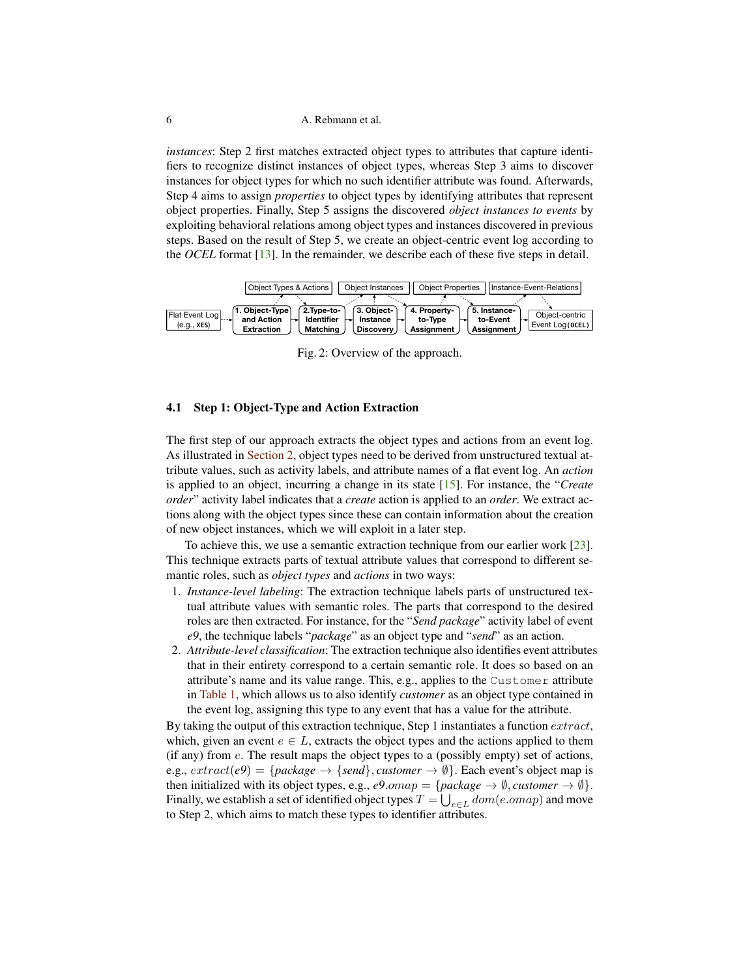*instances*: Step 2 first matches extracted object types to attributes that capture identifiers to recognize distinct instances of object types, whereas Step 3 aims to discover instances for object types for which no such identifier attribute was found. Afterwards, Step 4 aims to assign *properties* to object types by identifying attributes that represent object properties. Finally, Step 5 assigns the discovered *object instances to events* by exploiting behavioral relations among object types and instances discovered in previous steps. Based on the result of Step 5, we create an object-centric event log according to the *OCEL* format [\[13\]](#page-16-5). In the remainder, we describe each of these five steps in detail.

<span id="page-5-0"></span>

Fig. 2: Overview of the approach.

### 4.1 Step 1: Object-Type and Action Extraction

The first step of our approach extracts the object types and actions from an event log. As illustrated in [Section 2,](#page-1-0) object types need to be derived from unstructured textual attribute values, such as activity labels, and attribute names of a flat event log. An *action* is applied to an object, incurring a change in its state [\[15\]](#page-16-6). For instance, the "*Create order*" activity label indicates that a *create* action is applied to an *order*. We extract actions along with the object types since these can contain information about the creation of new object instances, which we will exploit in a later step.

To achieve this, we use a semantic extraction technique from our earlier work [\[23\]](#page-16-7). This technique extracts parts of textual attribute values that correspond to different semantic roles, such as *object types* and *actions* in two ways:

- 1. *Instance-level labeling*: The extraction technique labels parts of unstructured textual attribute values with semantic roles. The parts that correspond to the desired roles are then extracted. For instance, for the "*Send package*" activity label of event *e9*, the technique labels "*package*" as an object type and "*send*" as an action.
- 2. *Attribute-level classification*: The extraction technique also identifies event attributes that in their entirety correspond to a certain semantic role. It does so based on an attribute's name and its value range. This, e.g., applies to the Customer attribute in [Table 1,](#page-2-1) which allows us to also identify *customer* as an object type contained in the event log, assigning this type to any event that has a value for the attribute.

By taking the output of this extraction technique, Step 1 instantiates a function  $extract$ , which, given an event  $e \in L$ , extracts the object types and the actions applied to them (if any) from  $e$ . The result maps the object types to a (possibly empty) set of actions, e.g.,  $extract(e9) = \{package \rightarrow \{send\}, customer \rightarrow \emptyset\}$ . Each event's object map is then initialized with its object types, e.g.,  $e9. \text{oma}p = \{package \rightarrow \emptyset, customer \rightarrow \emptyset\}.$ Finally, we establish a set of identified object types  $T = \bigcup_{e \in L} dom(e.omap)$  and move to Step 2, which aims to match these types to identifier attributes.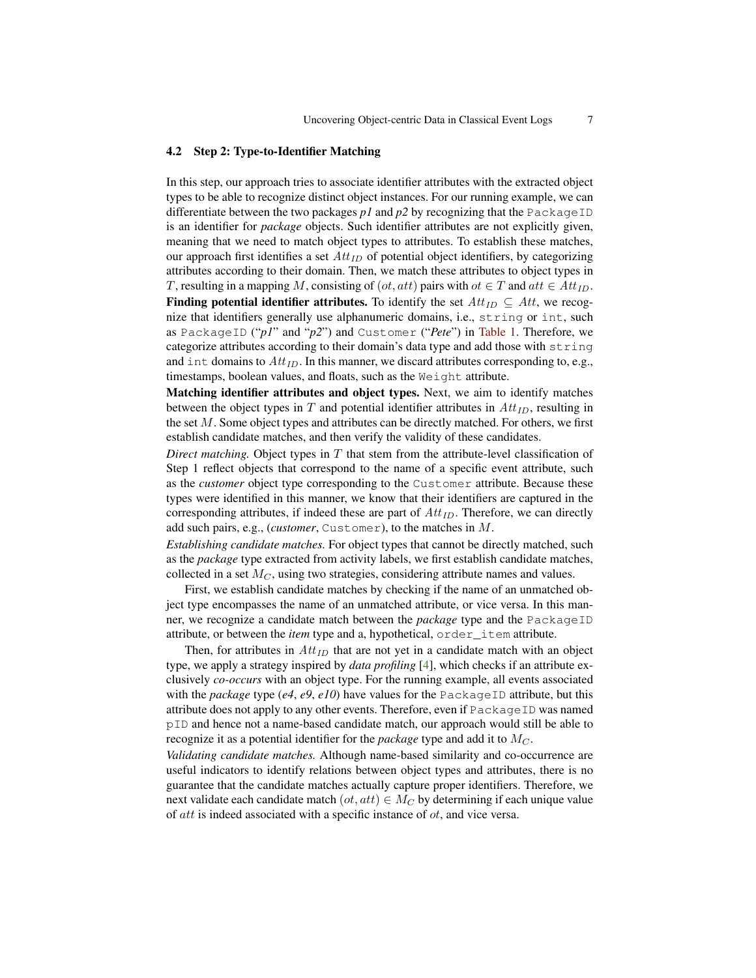### 4.2 Step 2: Type-to-Identifier Matching

In this step, our approach tries to associate identifier attributes with the extracted object types to be able to recognize distinct object instances. For our running example, we can differentiate between the two packages  $p1$  and  $p2$  by recognizing that the PackageID is an identifier for *package* objects. Such identifier attributes are not explicitly given, meaning that we need to match object types to attributes. To establish these matches, our approach first identifies a set  $Att_{ID}$  of potential object identifiers, by categorizing attributes according to their domain. Then, we match these attributes to object types in T, resulting in a mapping M, consisting of  $(o_t, att)$  pairs with  $ot \in T$  and  $att \in Att_{ID}$ . **Finding potential identifier attributes.** To identify the set  $Att_{ID} \subseteq Att$ , we recognize that identifiers generally use alphanumeric domains, i.e., string or int, such as PackageID ("*p1*" and "*p2*") and Customer ("*Pete*") in [Table 1.](#page-2-1) Therefore, we categorize attributes according to their domain's data type and add those with string and int domains to  $Att_{ID}$ . In this manner, we discard attributes corresponding to, e.g., timestamps, boolean values, and floats, such as the Weight attribute.

Matching identifier attributes and object types. Next, we aim to identify matches between the object types in  $T$  and potential identifier attributes in  $Att_{ID}$ , resulting in the set  $M$ . Some object types and attributes can be directly matched. For others, we first establish candidate matches, and then verify the validity of these candidates.

*Direct matching.* Object types in  $T$  that stem from the attribute-level classification of Step 1 reflect objects that correspond to the name of a specific event attribute, such as the *customer* object type corresponding to the Customer attribute. Because these types were identified in this manner, we know that their identifiers are captured in the corresponding attributes, if indeed these are part of  $Att_{ID}$ . Therefore, we can directly add such pairs, e.g., (*customer*, Customer), to the matches in M.

*Establishing candidate matches.* For object types that cannot be directly matched, such as the *package* type extracted from activity labels, we first establish candidate matches, collected in a set  $M_C$ , using two strategies, considering attribute names and values.

First, we establish candidate matches by checking if the name of an unmatched object type encompasses the name of an unmatched attribute, or vice versa. In this manner, we recognize a candidate match between the *package* type and the PackageID attribute, or between the *item* type and a, hypothetical, order\_item attribute.

Then, for attributes in  $Att_{ID}$  that are not yet in a candidate match with an object type, we apply a strategy inspired by *data profiling* [\[4\]](#page-16-8), which checks if an attribute exclusively *co-occurs* with an object type. For the running example, all events associated with the *package* type (*e4*, *e9*, *e10*) have values for the PackageID attribute, but this attribute does not apply to any other events. Therefore, even if  $\text{PackageID}$  was named pID and hence not a name-based candidate match, our approach would still be able to recognize it as a potential identifier for the *package* type and add it to  $M_C$ .

*Validating candidate matches.* Although name-based similarity and co-occurrence are useful indicators to identify relations between object types and attributes, there is no guarantee that the candidate matches actually capture proper identifiers. Therefore, we next validate each candidate match  $(\sigma t, att) \in M_C$  by determining if each unique value of  $att$  is indeed associated with a specific instance of  $ot$ , and vice versa.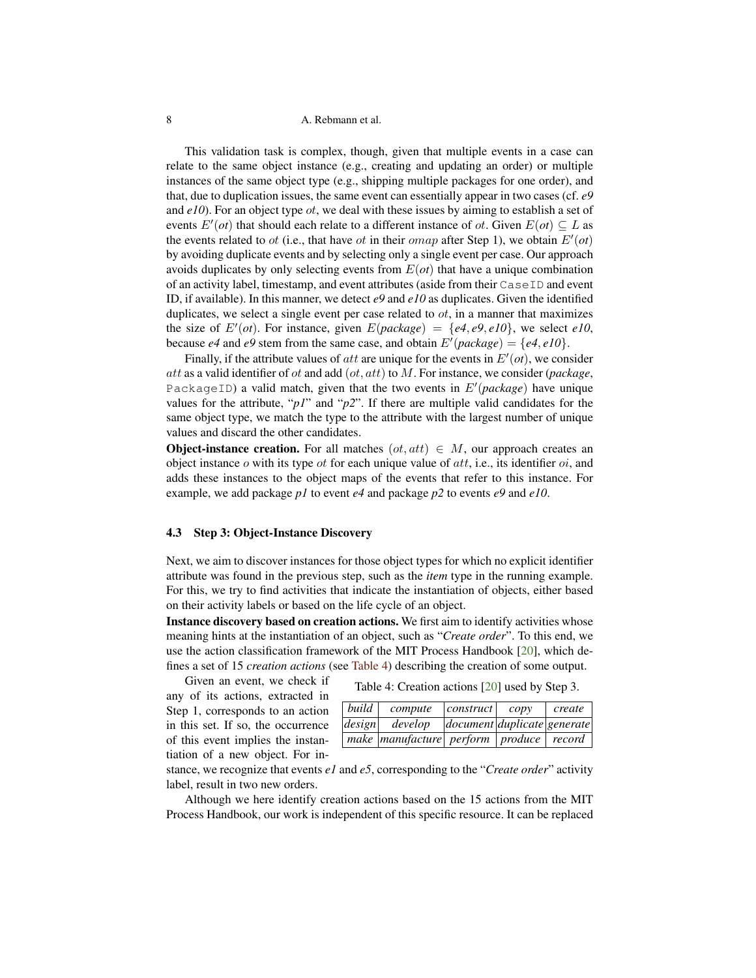This validation task is complex, though, given that multiple events in a case can relate to the same object instance (e.g., creating and updating an order) or multiple instances of the same object type (e.g., shipping multiple packages for one order), and that, due to duplication issues, the same event can essentially appear in two cases (cf. *e9* and *e10*). For an object type *ot*, we deal with these issues by aiming to establish a set of events  $E'(ot)$  that should each relate to a different instance of  $ot$ . Given  $E(o t) \subseteq L$  as the events related to *ot* (i.e., that have *ot* in their *omap* after Step 1), we obtain  $E'(ot)$ by avoiding duplicate events and by selecting only a single event per case. Our approach avoids duplicates by only selecting events from  $E(o t)$  that have a unique combination of an activity label, timestamp, and event attributes (aside from their CaseID and event ID, if available). In this manner, we detect *e9* and *e10* as duplicates. Given the identified duplicates, we select a single event per case related to  $\sigma t$ , in a manner that maximizes the size of  $E'(ot)$ . For instance, given  $E(package) = \{e4, e9, e10\}$ , we select *e10*, because *e4* and *e9* stem from the same case, and obtain  $E'(package) = \{e4, e10\}.$ 

Finally, if the attribute values of  $att$  are unique for the events in  $E'(ot)$ , we consider att as a valid identifier of ot and add (ot, att) to M. For instance, we consider (*package*, PackageID) a valid match, given that the two events in  $E'(package)$  have unique values for the attribute, "*p1*" and "*p2*". If there are multiple valid candidates for the same object type, we match the type to the attribute with the largest number of unique values and discard the other candidates.

**Object-instance creation.** For all matches  $(\alpha t, \alpha t) \in M$ , our approach creates an object instance o with its type of for each unique value of  $att$ , i.e., its identifier oi, and adds these instances to the object maps of the events that refer to this instance. For example, we add package *p1* to event *e4* and package *p2* to events *e9* and *e10*.

### 4.3 Step 3: Object-Instance Discovery

Next, we aim to discover instances for those object types for which no explicit identifier attribute was found in the previous step, such as the *item* type in the running example. For this, we try to find activities that indicate the instantiation of objects, either based on their activity labels or based on the life cycle of an object.

Instance discovery based on creation actions. We first aim to identify activities whose meaning hints at the instantiation of an object, such as "*Create order*". To this end, we use the action classification framework of the MIT Process Handbook [\[20\]](#page-16-9), which defines a set of 15 *creation actions* (see [Table 4\)](#page-7-0) describing the creation of some output.

Given an event, we check if any of its actions, extracted in Step 1, corresponds to an action in this set. If so, the occurrence of this event implies the instantiation of a new object. For in-

<span id="page-7-0"></span>

| $build \vert$ | compute                                         | $ construct $ copy            | create |
|---------------|-------------------------------------------------|-------------------------------|--------|
|               | $\left \text{design}\right $ develop            | document  duplicate  generate |        |
|               | make   manufacture   perform   produce   record |                               |        |

stance, we recognize that events *e1* and *e5*, corresponding to the "*Create order*" activity label, result in two new orders.

Although we here identify creation actions based on the 15 actions from the MIT Process Handbook, our work is independent of this specific resource. It can be replaced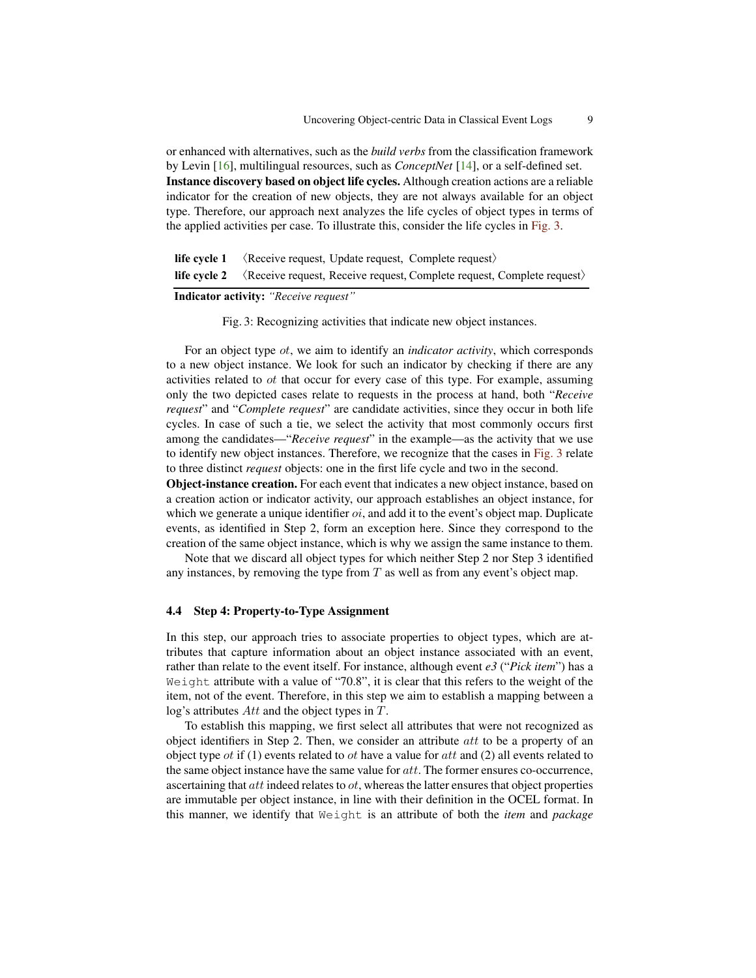or enhanced with alternatives, such as the *build verbs* from the classification framework by Levin [\[16\]](#page-16-10), multilingual resources, such as *ConceptNet* [\[14\]](#page-16-11), or a self-defined set. Instance discovery based on object life cycles. Although creation actions are a reliable indicator for the creation of new objects, they are not always available for an object type. Therefore, our approach next analyzes the life cycles of object types in terms of the applied activities per case. To illustrate this, consider the life cycles in [Fig. 3.](#page-8-0)

<span id="page-8-0"></span>⟨Receive request, Update request, Complete request⟩  **life cycle 1 life cycle 2** ⟨Receive request, Receive request, Complete request, Complete request⟩

### **Indicator activity:** *"Receive request"*

Fig. 3: Recognizing activities that indicate new object instances.

For an object type ot, we aim to identify an *indicator activity*, which corresponds to a new object instance. We look for such an indicator by checking if there are any activities related to ot that occur for every case of this type. For example, assuming only the two depicted cases relate to requests in the process at hand, both "*Receive request*" and "*Complete request*" are candidate activities, since they occur in both life cycles. In case of such a tie, we select the activity that most commonly occurs first among the candidates—"*Receive request*" in the example—as the activity that we use to identify new object instances. Therefore, we recognize that the cases in [Fig. 3](#page-8-0) relate to three distinct *request* objects: one in the first life cycle and two in the second.

Object-instance creation. For each event that indicates a new object instance, based on a creation action or indicator activity, our approach establishes an object instance, for which we generate a unique identifier  $oi$ , and add it to the event's object map. Duplicate events, as identified in Step 2, form an exception here. Since they correspond to the creation of the same object instance, which is why we assign the same instance to them.

Note that we discard all object types for which neither Step 2 nor Step 3 identified any instances, by removing the type from  $T$  as well as from any event's object map.

### 4.4 Step 4: Property-to-Type Assignment

In this step, our approach tries to associate properties to object types, which are attributes that capture information about an object instance associated with an event, rather than relate to the event itself. For instance, although event *e3* ("*Pick item*") has a Weight attribute with a value of "70.8", it is clear that this refers to the weight of the item, not of the event. Therefore, in this step we aim to establish a mapping between a log's attributes Att and the object types in T.

To establish this mapping, we first select all attributes that were not recognized as object identifiers in Step 2. Then, we consider an attribute  $att$  to be a property of an object type ot if (1) events related to ot have a value for  $att$  and (2) all events related to the same object instance have the same value for  $att$ . The former ensures co-occurrence, ascertaining that  $att$  indeed relates to  $ot$ , whereas the latter ensures that object properties are immutable per object instance, in line with their definition in the OCEL format. In this manner, we identify that Weight is an attribute of both the *item* and *package*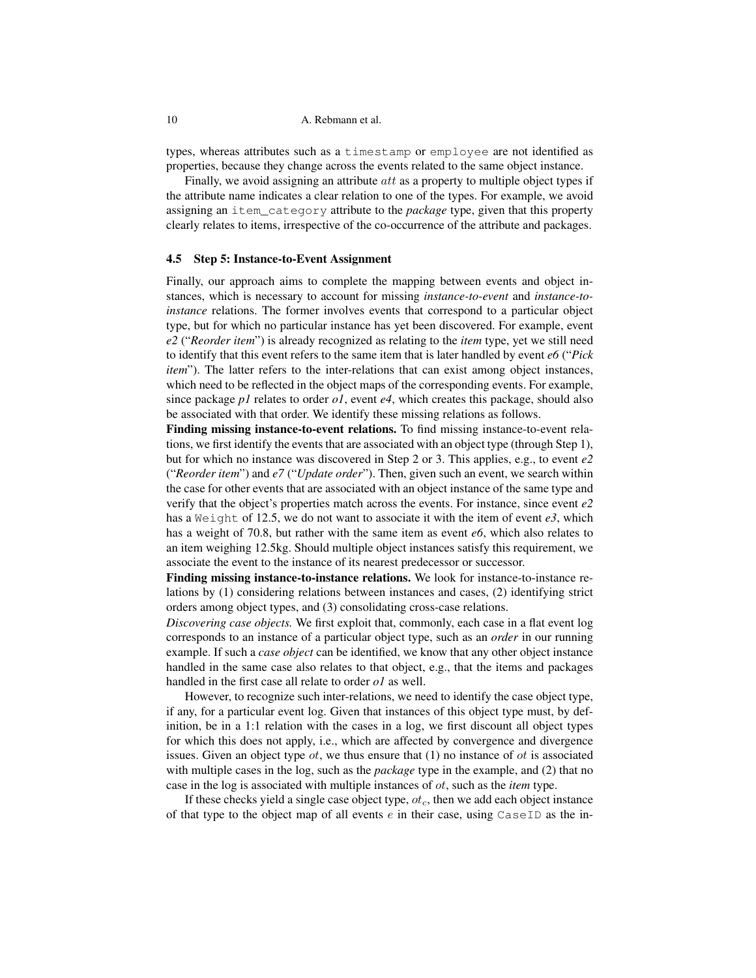types, whereas attributes such as a timestamp or employee are not identified as properties, because they change across the events related to the same object instance.

Finally, we avoid assigning an attribute att as a property to multiple object types if the attribute name indicates a clear relation to one of the types. For example, we avoid assigning an item\_category attribute to the *package* type, given that this property clearly relates to items, irrespective of the co-occurrence of the attribute and packages.

#### 4.5 Step 5: Instance-to-Event Assignment

Finally, our approach aims to complete the mapping between events and object instances, which is necessary to account for missing *instance-to-event* and *instance-toinstance* relations. The former involves events that correspond to a particular object type, but for which no particular instance has yet been discovered. For example, event *e2* ("*Reorder item*") is already recognized as relating to the *item* type, yet we still need to identify that this event refers to the same item that is later handled by event *e6* ("*Pick item*"). The latter refers to the inter-relations that can exist among object instances, which need to be reflected in the object maps of the corresponding events. For example, since package *p1* relates to order *o1*, event *e4*, which creates this package, should also be associated with that order. We identify these missing relations as follows.

Finding missing instance-to-event relations. To find missing instance-to-event relations, we first identify the events that are associated with an object type (through Step 1), but for which no instance was discovered in Step 2 or 3. This applies, e.g., to event *e2* ("*Reorder item*") and *e7* ("*Update order*"). Then, given such an event, we search within the case for other events that are associated with an object instance of the same type and verify that the object's properties match across the events. For instance, since event *e2* has a Weight of 12.5, we do not want to associate it with the item of event  $e3$ , which has a weight of 70.8, but rather with the same item as event *e6*, which also relates to an item weighing 12.5kg. Should multiple object instances satisfy this requirement, we associate the event to the instance of its nearest predecessor or successor.

Finding missing instance-to-instance relations. We look for instance-to-instance relations by (1) considering relations between instances and cases, (2) identifying strict orders among object types, and (3) consolidating cross-case relations.

*Discovering case objects.* We first exploit that, commonly, each case in a flat event log corresponds to an instance of a particular object type, such as an *order* in our running example. If such a *case object* can be identified, we know that any other object instance handled in the same case also relates to that object, e.g., that the items and packages handled in the first case all relate to order *o1* as well.

However, to recognize such inter-relations, we need to identify the case object type, if any, for a particular event log. Given that instances of this object type must, by definition, be in a 1:1 relation with the cases in a log, we first discount all object types for which this does not apply, i.e., which are affected by convergence and divergence issues. Given an object type  $ot$ , we thus ensure that (1) no instance of  $ot$  is associated with multiple cases in the log, such as the *package* type in the example, and (2) that no case in the log is associated with multiple instances of ot, such as the *item* type.

If these checks yield a single case object type,  $ot_c$ , then we add each object instance of that type to the object map of all events  $e$  in their case, using CaseID as the in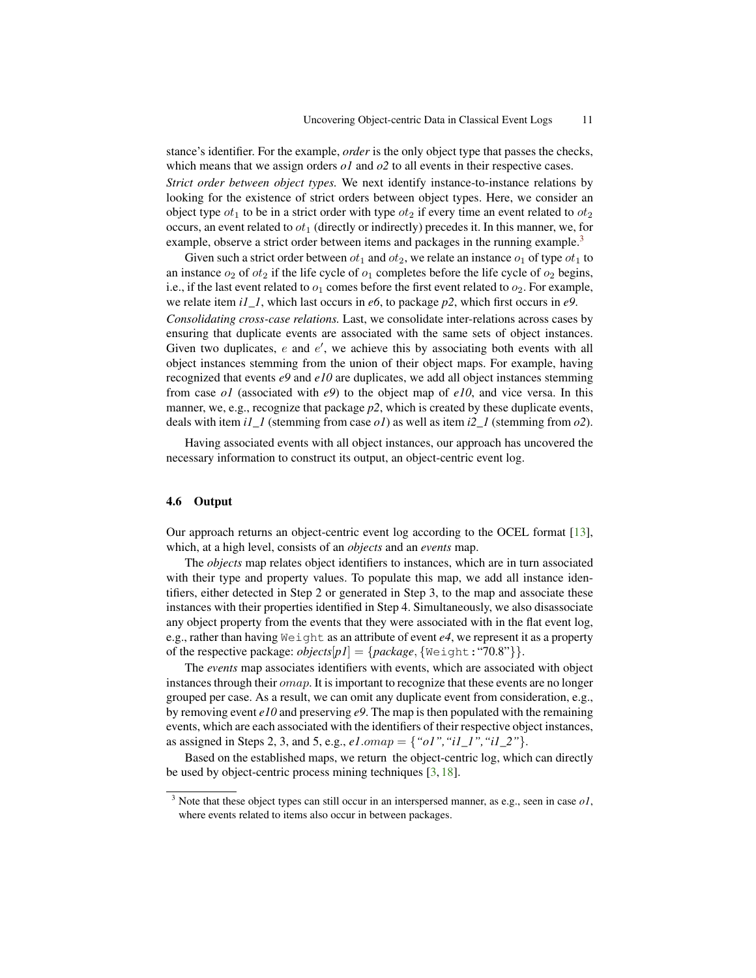stance's identifier. For the example, *order* is the only object type that passes the checks, which means that we assign orders *o1* and *o2* to all events in their respective cases. *Strict order between object types.* We next identify instance-to-instance relations by looking for the existence of strict orders between object types. Here, we consider an object type  $ot_1$  to be in a strict order with type  $ot_2$  if every time an event related to  $ot_2$ occurs, an event related to  $\sigma t_1$  (directly or indirectly) precedes it. In this manner, we, for example, observe a strict order between items and packages in the running example.<sup>[3](#page-10-0)</sup>

Given such a strict order between  $ot_1$  and  $ot_2$ , we relate an instance  $o_1$  of type  $ot_1$  to an instance  $o_2$  of  $ot_2$  if the life cycle of  $o_1$  completes before the life cycle of  $o_2$  begins, i.e., if the last event related to  $o_1$  comes before the first event related to  $o_2$ . For example, we relate item *i1\_1*, which last occurs in *e6*, to package *p2*, which first occurs in *e9*. *Consolidating cross-case relations.* Last, we consolidate inter-relations across cases by ensuring that duplicate events are associated with the same sets of object instances. Given two duplicates,  $e$  and  $e'$ , we achieve this by associating both events with all object instances stemming from the union of their object maps. For example, having recognized that events *e9* and *e10* are duplicates, we add all object instances stemming from case *o1* (associated with *e9*) to the object map of *e10*, and vice versa. In this manner, we, e.g., recognize that package  $p2$ , which is created by these duplicate events, deals with item *i1\_1* (stemming from case *o1*) as well as item *i2\_1* (stemming from *o2*).

Having associated events with all object instances, our approach has uncovered the necessary information to construct its output, an object-centric event log.

#### 4.6 Output

Our approach returns an object-centric event log according to the OCEL format [\[13\]](#page-16-5), which, at a high level, consists of an *objects* and an *events* map.

The *objects* map relates object identifiers to instances, which are in turn associated with their type and property values. To populate this map, we add all instance identifiers, either detected in Step 2 or generated in Step 3, to the map and associate these instances with their properties identified in Step 4. Simultaneously, we also disassociate any object property from the events that they were associated with in the flat event log, e.g., rather than having Weight as an attribute of event *e4*, we represent it as a property of the respective package:  $objects[p1] = \{package, \{\text{Weight}: \text{``70.8''}\}\}.$ 

The *events* map associates identifiers with events, which are associated with object instances through their *omap*. It is important to recognize that these events are no longer grouped per case. As a result, we can omit any duplicate event from consideration, e.g., by removing event *e10* and preserving *e9*. The map is then populated with the remaining events, which are each associated with the identifiers of their respective object instances, as assigned in Steps 2, 3, and 5, e.g.,  $el.oma p = \{ "o1", "i1_1", "i1_2" \}.$ 

Based on the established maps, we return the object-centric log, which can directly be used by object-centric process mining techniques [\[3,](#page-16-12) [18\]](#page-16-13).

<span id="page-10-0"></span><sup>3</sup> Note that these object types can still occur in an interspersed manner, as e.g., seen in case *o1*, where events related to items also occur in between packages.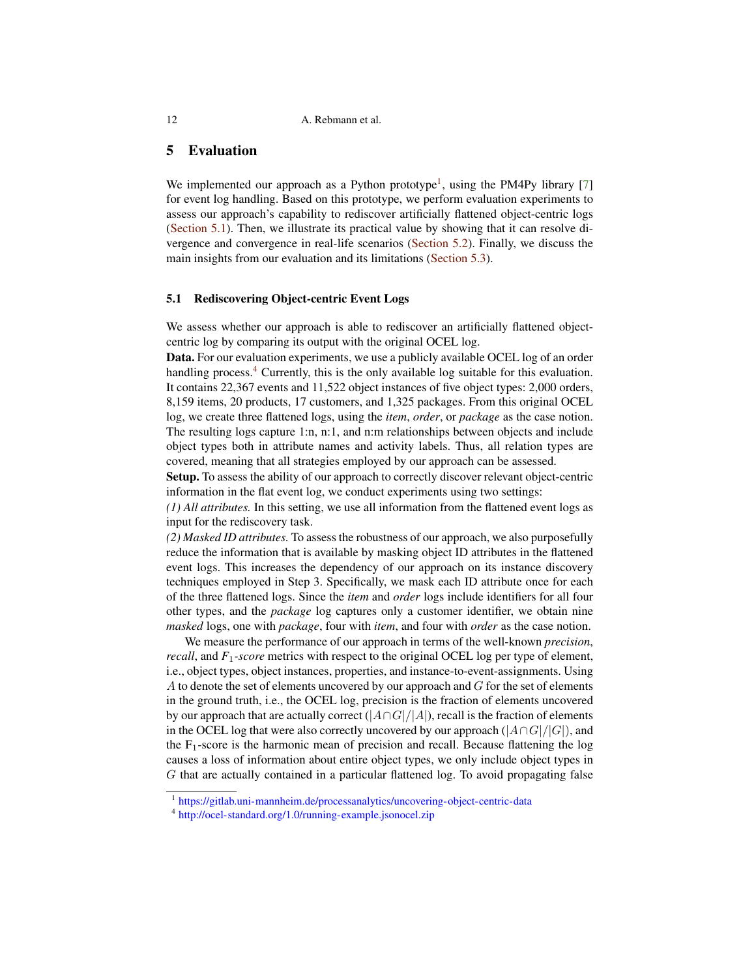## <span id="page-11-0"></span>5 Evaluation

We implemented our approach as a Python prototype<sup>[1](#page-11-1)</sup>, using the PM4Py library [\[7\]](#page-16-14) for event log handling. Based on this prototype, we perform evaluation experiments to assess our approach's capability to rediscover artificially flattened object-centric logs [\(Section 5.1\)](#page-11-2). Then, we illustrate its practical value by showing that it can resolve divergence and convergence in real-life scenarios [\(Section 5.2\)](#page-13-0). Finally, we discuss the main insights from our evaluation and its limitations [\(Section 5.3\)](#page-14-1).

### <span id="page-11-2"></span>5.1 Rediscovering Object-centric Event Logs

We assess whether our approach is able to rediscover an artificially flattened objectcentric log by comparing its output with the original OCEL log.

Data. For our evaluation experiments, we use a publicly available OCEL log of an order handling process. $4$  Currently, this is the only available log suitable for this evaluation. It contains 22,367 events and 11,522 object instances of five object types: 2,000 orders, 8,159 items, 20 products, 17 customers, and 1,325 packages. From this original OCEL log, we create three flattened logs, using the *item*, *order*, or *package* as the case notion. The resulting logs capture 1:n, n:1, and n:m relationships between objects and include object types both in attribute names and activity labels. Thus, all relation types are covered, meaning that all strategies employed by our approach can be assessed.

Setup. To assess the ability of our approach to correctly discover relevant object-centric information in the flat event log, we conduct experiments using two settings:

*(1) All attributes.* In this setting, we use all information from the flattened event logs as input for the rediscovery task.

*(2) Masked ID attributes.* To assess the robustness of our approach, we also purposefully reduce the information that is available by masking object ID attributes in the flattened event logs. This increases the dependency of our approach on its instance discovery techniques employed in Step 3. Specifically, we mask each ID attribute once for each of the three flattened logs. Since the *item* and *order* logs include identifiers for all four other types, and the *package* log captures only a customer identifier, we obtain nine *masked* logs, one with *package*, four with *item*, and four with *order* as the case notion.

We measure the performance of our approach in terms of the well-known *precision*, *recall*, and  $F_1$ -*score* metrics with respect to the original OCEL log per type of element, i.e., object types, object instances, properties, and instance-to-event-assignments. Using  $A$  to denote the set of elements uncovered by our approach and  $G$  for the set of elements in the ground truth, i.e., the OCEL log, precision is the fraction of elements uncovered by our approach that are actually correct  $(|A \cap G|/|A|)$ , recall is the fraction of elements in the OCEL log that were also correctly uncovered by our approach  $(|A \cap G|/|G|)$ , and the  $F_1$ -score is the harmonic mean of precision and recall. Because flattening the log causes a loss of information about entire object types, we only include object types in G that are actually contained in a particular flattened log. To avoid propagating false

<span id="page-11-1"></span><sup>&</sup>lt;sup>1</sup> <https://gitlab.uni-mannheim.de/processanalytics/uncovering-object-centric-data>

<span id="page-11-3"></span><sup>4</sup> <http://ocel-standard.org/1.0/running-example.jsonocel.zip>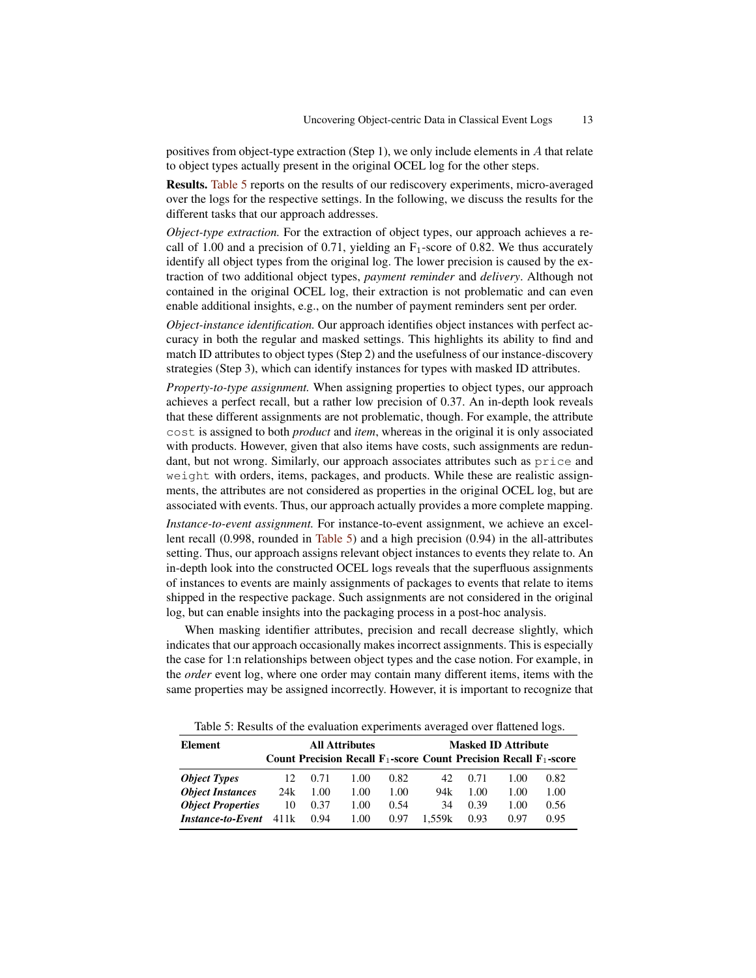positives from object-type extraction (Step 1), we only include elements in A that relate to object types actually present in the original OCEL log for the other steps.

Results. [Table 5](#page-12-0) reports on the results of our rediscovery experiments, micro-averaged over the logs for the respective settings. In the following, we discuss the results for the different tasks that our approach addresses.

*Object-type extraction.* For the extraction of object types, our approach achieves a recall of 1.00 and a precision of 0.71, yielding an  $F_1$ -score of 0.82. We thus accurately identify all object types from the original log. The lower precision is caused by the extraction of two additional object types, *payment reminder* and *delivery*. Although not contained in the original OCEL log, their extraction is not problematic and can even enable additional insights, e.g., on the number of payment reminders sent per order.

*Object-instance identification.* Our approach identifies object instances with perfect accuracy in both the regular and masked settings. This highlights its ability to find and match ID attributes to object types (Step 2) and the usefulness of our instance-discovery strategies (Step 3), which can identify instances for types with masked ID attributes.

*Property-to-type assignment.* When assigning properties to object types, our approach achieves a perfect recall, but a rather low precision of 0.37. An in-depth look reveals that these different assignments are not problematic, though. For example, the attribute cost is assigned to both *product* and *item*, whereas in the original it is only associated with products. However, given that also items have costs, such assignments are redundant, but not wrong. Similarly, our approach associates attributes such as price and weight with orders, items, packages, and products. While these are realistic assignments, the attributes are not considered as properties in the original OCEL log, but are associated with events. Thus, our approach actually provides a more complete mapping.

*Instance-to-event assignment.* For instance-to-event assignment, we achieve an excellent recall (0.998, rounded in [Table 5\)](#page-12-0) and a high precision (0.94) in the all-attributes setting. Thus, our approach assigns relevant object instances to events they relate to. An in-depth look into the constructed OCEL logs reveals that the superfluous assignments of instances to events are mainly assignments of packages to events that relate to items shipped in the respective package. Such assignments are not considered in the original log, but can enable insights into the packaging process in a post-hoc analysis.

When masking identifier attributes, precision and recall decrease slightly, which indicates that our approach occasionally makes incorrect assignments. This is especially the case for 1:n relationships between object types and the case notion. For example, in the *order* event log, where one order may contain many different items, items with the same properties may be assigned incorrectly. However, it is important to recognize that

<span id="page-12-0"></span>

| Element                       | <b>All Attributes</b> |      |      |      | <b>Masked ID Attribute</b> |                                                                         |      |      |
|-------------------------------|-----------------------|------|------|------|----------------------------|-------------------------------------------------------------------------|------|------|
|                               |                       |      |      |      |                            | Count Precision Recall $F_1$ -score Count Precision Recall $F_1$ -score |      |      |
| <b>Object Types</b>           | 12.                   | 0.71 | 1.00 | 0.82 | 42.                        | 0.71                                                                    | 1.00 | 0.82 |
| <b>Object Instances</b>       | 24k                   | 1.00 | 1.00 | 1.00 | 94k                        | 1.00                                                                    | 1.00 | 1.00 |
| <b>Object Properties</b>      | 10                    | 0.37 | 1.00 | 0.54 | 34                         | 0.39                                                                    | 1.00 | 0.56 |
| <b>Instance-to-Event</b> 411k |                       | 0.94 | 1.00 | 0.97 | 1.559k                     | 0.93                                                                    | 0.97 | 0.95 |

Table 5: Results of the evaluation experiments averaged over flattened logs.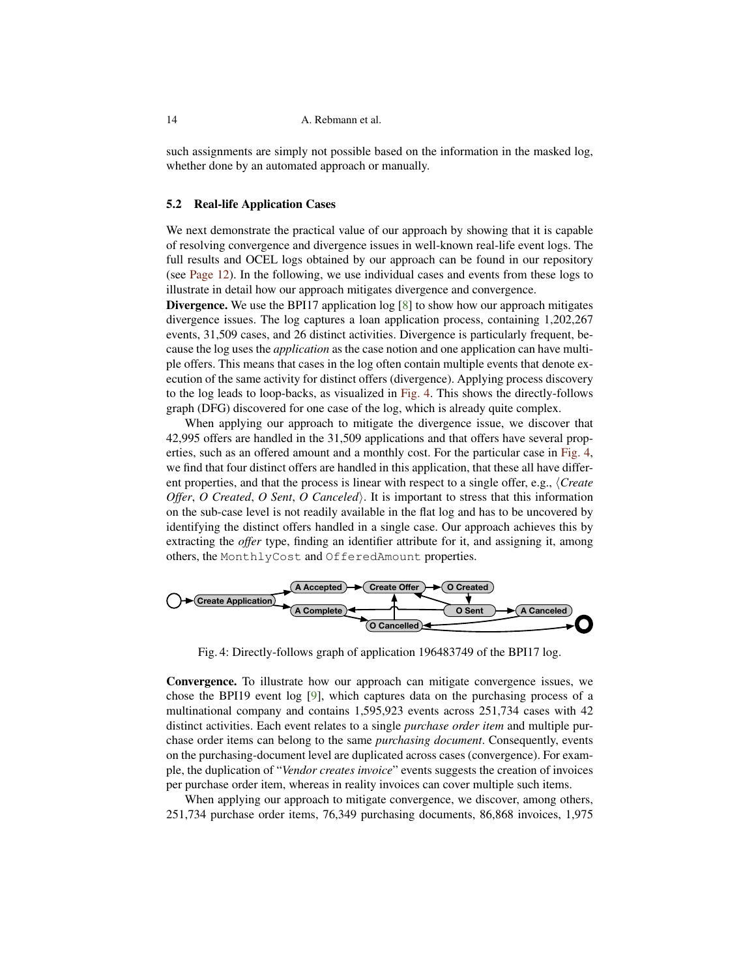such assignments are simply not possible based on the information in the masked log, whether done by an automated approach or manually.

### <span id="page-13-0"></span>5.2 Real-life Application Cases

We next demonstrate the practical value of our approach by showing that it is capable of resolving convergence and divergence issues in well-known real-life event logs. The full results and OCEL logs obtained by our approach can be found in our repository (see [Page 12\)](#page-11-0). In the following, we use individual cases and events from these logs to illustrate in detail how our approach mitigates divergence and convergence.

Divergence. We use the BPI17 application log [\[8\]](#page-16-3) to show how our approach mitigates divergence issues. The log captures a loan application process, containing 1,202,267 events, 31,509 cases, and 26 distinct activities. Divergence is particularly frequent, because the log uses the *application* as the case notion and one application can have multiple offers. This means that cases in the log often contain multiple events that denote execution of the same activity for distinct offers (divergence). Applying process discovery to the log leads to loop-backs, as visualized in [Fig. 4.](#page-13-1) This shows the directly-follows graph (DFG) discovered for one case of the log, which is already quite complex.

When applying our approach to mitigate the divergence issue, we discover that 42,995 offers are handled in the 31,509 applications and that offers have several properties, such as an offered amount and a monthly cost. For the particular case in [Fig. 4,](#page-13-1) we find that four distinct offers are handled in this application, that these all have different properties, and that the process is linear with respect to a single offer, e.g., *{Create*} *Offer*, *O Created*, *O Sent*, *O Canceled* $\rangle$ . It is important to stress that this information on the sub-case level is not readily available in the flat log and has to be uncovered by identifying the distinct offers handled in a single case. Our approach achieves this by extracting the *offer* type, finding an identifier attribute for it, and assigning it, among others, the MonthlyCost and OfferedAmount properties.

<span id="page-13-1"></span>

Fig. 4: Directly-follows graph of application 196483749 of the BPI17 log.

Convergence. To illustrate how our approach can mitigate convergence issues, we chose the BPI19 event log [\[9\]](#page-16-4), which captures data on the purchasing process of a multinational company and contains 1,595,923 events across 251,734 cases with 42 distinct activities. Each event relates to a single *purchase order item* and multiple purchase order items can belong to the same *purchasing document*. Consequently, events on the purchasing-document level are duplicated across cases (convergence). For example, the duplication of "*Vendor creates invoice*" events suggests the creation of invoices per purchase order item, whereas in reality invoices can cover multiple such items.

When applying our approach to mitigate convergence, we discover, among others, 251,734 purchase order items, 76,349 purchasing documents, 86,868 invoices, 1,975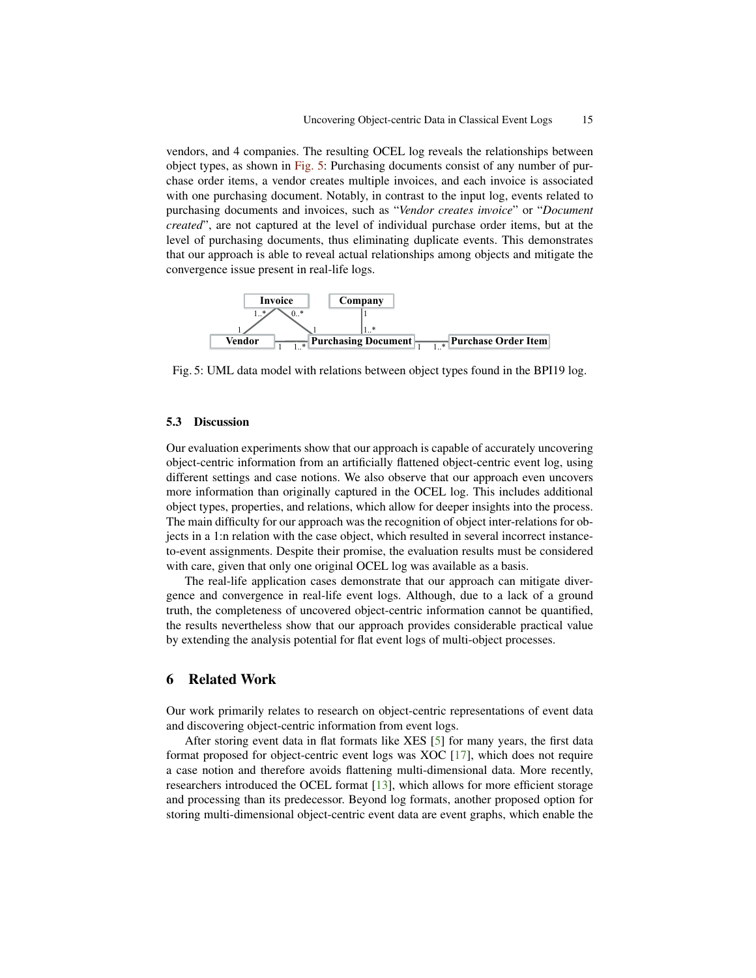vendors, and 4 companies. The resulting OCEL log reveals the relationships between object types, as shown in [Fig. 5:](#page-14-2) Purchasing documents consist of any number of purchase order items, a vendor creates multiple invoices, and each invoice is associated with one purchasing document. Notably, in contrast to the input log, events related to purchasing documents and invoices, such as "*Vendor creates invoice*" or "*Document created*", are not captured at the level of individual purchase order items, but at the level of purchasing documents, thus eliminating duplicate events. This demonstrates that our approach is able to reveal actual relationships among objects and mitigate the convergence issue present in real-life logs.

<span id="page-14-2"></span>

Fig. 5: UML data model with relations between object types found in the BPI19 log.

#### <span id="page-14-1"></span>5.3 Discussion

Our evaluation experiments show that our approach is capable of accurately uncovering object-centric information from an artificially flattened object-centric event log, using different settings and case notions. We also observe that our approach even uncovers more information than originally captured in the OCEL log. This includes additional object types, properties, and relations, which allow for deeper insights into the process. The main difficulty for our approach was the recognition of object inter-relations for objects in a 1:n relation with the case object, which resulted in several incorrect instanceto-event assignments. Despite their promise, the evaluation results must be considered with care, given that only one original OCEL log was available as a basis.

The real-life application cases demonstrate that our approach can mitigate divergence and convergence in real-life event logs. Although, due to a lack of a ground truth, the completeness of uncovered object-centric information cannot be quantified, the results nevertheless show that our approach provides considerable practical value by extending the analysis potential for flat event logs of multi-object processes.

# <span id="page-14-0"></span>6 Related Work

Our work primarily relates to research on object-centric representations of event data and discovering object-centric information from event logs.

After storing event data in flat formats like XES [\[5\]](#page-16-15) for many years, the first data format proposed for object-centric event logs was XOC [\[17\]](#page-16-16), which does not require a case notion and therefore avoids flattening multi-dimensional data. More recently, researchers introduced the OCEL format [\[13\]](#page-16-5), which allows for more efficient storage and processing than its predecessor. Beyond log formats, another proposed option for storing multi-dimensional object-centric event data are event graphs, which enable the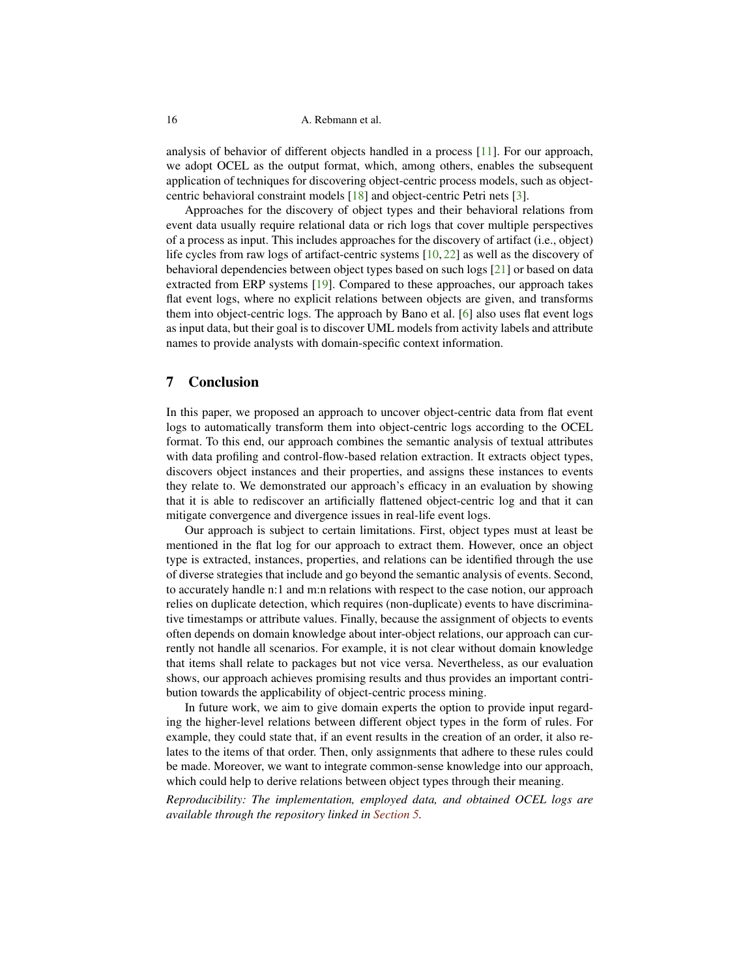analysis of behavior of different objects handled in a process [\[11\]](#page-16-17). For our approach, we adopt OCEL as the output format, which, among others, enables the subsequent application of techniques for discovering object-centric process models, such as objectcentric behavioral constraint models [\[18\]](#page-16-13) and object-centric Petri nets [\[3\]](#page-16-12).

Approaches for the discovery of object types and their behavioral relations from event data usually require relational data or rich logs that cover multiple perspectives of a process as input. This includes approaches for the discovery of artifact (i.e., object) life cycles from raw logs of artifact-centric systems [\[10,](#page-16-18) [22\]](#page-16-19) as well as the discovery of behavioral dependencies between object types based on such logs [\[21\]](#page-16-20) or based on data extracted from ERP systems [\[19\]](#page-16-21). Compared to these approaches, our approach takes flat event logs, where no explicit relations between objects are given, and transforms them into object-centric logs. The approach by Bano et al. [\[6\]](#page-16-22) also uses flat event logs as input data, but their goal is to discover UML models from activity labels and attribute names to provide analysts with domain-specific context information.

### <span id="page-15-0"></span>7 Conclusion

In this paper, we proposed an approach to uncover object-centric data from flat event logs to automatically transform them into object-centric logs according to the OCEL format. To this end, our approach combines the semantic analysis of textual attributes with data profiling and control-flow-based relation extraction. It extracts object types, discovers object instances and their properties, and assigns these instances to events they relate to. We demonstrated our approach's efficacy in an evaluation by showing that it is able to rediscover an artificially flattened object-centric log and that it can mitigate convergence and divergence issues in real-life event logs.

Our approach is subject to certain limitations. First, object types must at least be mentioned in the flat log for our approach to extract them. However, once an object type is extracted, instances, properties, and relations can be identified through the use of diverse strategies that include and go beyond the semantic analysis of events. Second, to accurately handle n:1 and m:n relations with respect to the case notion, our approach relies on duplicate detection, which requires (non-duplicate) events to have discriminative timestamps or attribute values. Finally, because the assignment of objects to events often depends on domain knowledge about inter-object relations, our approach can currently not handle all scenarios. For example, it is not clear without domain knowledge that items shall relate to packages but not vice versa. Nevertheless, as our evaluation shows, our approach achieves promising results and thus provides an important contribution towards the applicability of object-centric process mining.

In future work, we aim to give domain experts the option to provide input regarding the higher-level relations between different object types in the form of rules. For example, they could state that, if an event results in the creation of an order, it also relates to the items of that order. Then, only assignments that adhere to these rules could be made. Moreover, we want to integrate common-sense knowledge into our approach, which could help to derive relations between object types through their meaning.

*Reproducibility: The implementation, employed data, and obtained OCEL logs are available through the repository linked in [Section 5.](#page-11-0)*